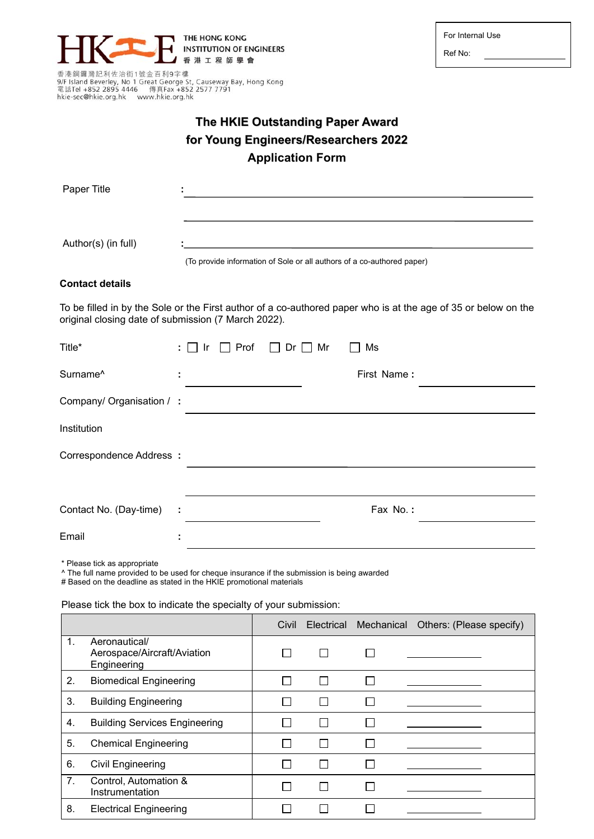

Ref No:

香港銅鑼灣記利佐治街1號金百利9字樓<br>9/F Island Beverley, No 1 Great George St, Causeway Bay, Hong Kong<br>電話Tel +852 2895 4446 傳真Fax +852 2577 7791 hkie-sec@hkie.org.hk www.hkie.org.hk

## **The HKIE Outstanding Paper Award for Young Engineers/Researchers 2022 Application Form**

| Paper Title                                         |   |      |             |                     |  |                                                                                                                |  |
|-----------------------------------------------------|---|------|-------------|---------------------|--|----------------------------------------------------------------------------------------------------------------|--|
|                                                     |   |      |             |                     |  |                                                                                                                |  |
|                                                     |   |      |             |                     |  |                                                                                                                |  |
| Author(s) (in full)                                 |   |      |             |                     |  | (To provide information of Sole or all authors of a co-authored paper)                                         |  |
|                                                     |   |      |             |                     |  |                                                                                                                |  |
| <b>Contact details</b>                              |   |      |             |                     |  |                                                                                                                |  |
| original closing date of submission (7 March 2022). |   |      |             |                     |  | To be filled in by the Sole or the First author of a co-authored paper who is at the age of 35 or below on the |  |
| Title*                                              |   | - Ir | $\Box$ Prof | $\Box$ Dr $\Box$ Mr |  | Ms                                                                                                             |  |
| Surname <sup>^</sup>                                |   |      |             |                     |  | First Name:                                                                                                    |  |
| Company/ Organisation / :                           |   |      |             |                     |  |                                                                                                                |  |
| Institution                                         |   |      |             |                     |  |                                                                                                                |  |
| Correspondence Address:                             |   |      |             |                     |  |                                                                                                                |  |
|                                                     |   |      |             |                     |  |                                                                                                                |  |
| Contact No. (Day-time)                              | ÷ |      |             |                     |  | Fax No.:                                                                                                       |  |
| Email                                               |   |      |             |                     |  |                                                                                                                |  |
|                                                     |   |      |             |                     |  |                                                                                                                |  |

\* Please tick as appropriate

^ The full name provided to be used for cheque insurance if the submission is being awarded

# Based on the deadline as stated in the HKIE promotional materials

Please tick the box to indicate the specialty of your submission:

|    |                                                             | Civil |  | Electrical Mechanical Others: (Please specify) |
|----|-------------------------------------------------------------|-------|--|------------------------------------------------|
| 1. | Aeronautical/<br>Aerospace/Aircraft/Aviation<br>Engineering |       |  |                                                |
| 2. | <b>Biomedical Engineering</b>                               |       |  |                                                |
| 3. | <b>Building Engineering</b>                                 |       |  |                                                |
| 4. | <b>Building Services Engineering</b>                        |       |  |                                                |
| 5. | <b>Chemical Engineering</b>                                 |       |  |                                                |
| 6. | Civil Engineering                                           |       |  |                                                |
| 7. | Control, Automation &<br>Instrumentation                    |       |  |                                                |
| 8. | <b>Electrical Engineering</b>                               |       |  |                                                |